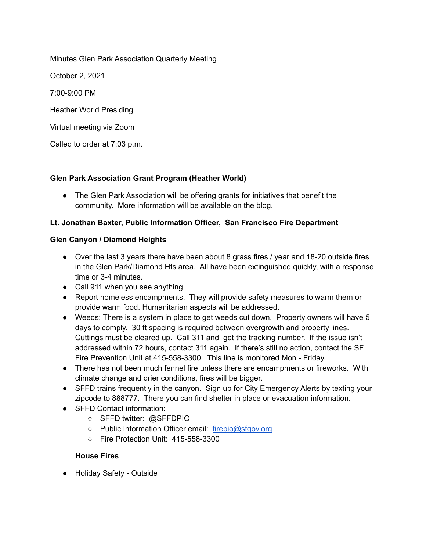Minutes Glen Park Association Quarterly Meeting

October 2, 2021

7:00-9:00 PM

Heather World Presiding

Virtual meeting via Zoom

Called to order at 7:03 p.m.

# **Glen Park Association Grant Program (Heather World)**

• The Glen Park Association will be offering grants for initiatives that benefit the community. More information will be available on the blog.

# **Lt. Jonathan Baxter, Public Information Officer, San Francisco Fire Department**

# **Glen Canyon / Diamond Heights**

- Over the last 3 years there have been about 8 grass fires / year and 18-20 outside fires in the Glen Park/Diamond Hts area. All have been extinguished quickly, with a response time or 3-4 minutes.
- Call 911 when you see anything
- Report homeless encampments. They will provide safety measures to warm them or provide warm food. Humanitarian aspects will be addressed.
- Weeds: There is a system in place to get weeds cut down. Property owners will have 5 days to comply. 30 ft spacing is required between overgrowth and property lines. Cuttings must be cleared up. Call 311 and get the tracking number. If the issue isn't addressed within 72 hours, contact 311 again. If there's still no action, contact the SF Fire Prevention Unit at 415-558-3300. This line is monitored Mon - Friday.
- There has not been much fennel fire unless there are encampments or fireworks. With climate change and drier conditions, fires will be bigger.
- SFFD trains frequently in the canyon. Sign up for City Emergency Alerts by texting your zipcode to 888777. There you can find shelter in place or evacuation information.
- **SFFD Contact information:** 
	- SFFD twitter: @SFFDPIO
	- Public Information Officer email: [firepio@sfgov.org](mailto:firepio@sfgov.org)
	- Fire Protection Unit: 415-558-3300

# **House Fires**

● Holiday Safety - Outside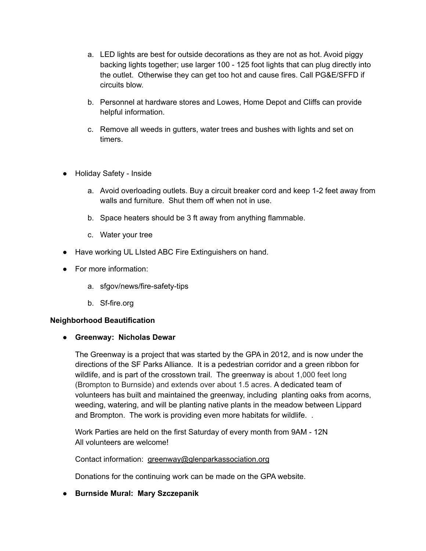- a. LED lights are best for outside decorations as they are not as hot. Avoid piggy backing lights together; use larger 100 - 125 foot lights that can plug directly into the outlet. Otherwise they can get too hot and cause fires. Call PG&E/SFFD if circuits blow.
- b. Personnel at hardware stores and Lowes, Home Depot and Cliffs can provide helpful information.
- c. Remove all weeds in gutters, water trees and bushes with lights and set on timers.
- Holiday Safety Inside
	- a. Avoid overloading outlets. Buy a circuit breaker cord and keep 1-2 feet away from walls and furniture. Shut them off when not in use.
	- b. Space heaters should be 3 ft away from anything flammable.
	- c. Water your tree
- Have working UL LIsted ABC Fire Extinguishers on hand.
- For more information:
	- a. sfgov/news/fire-safety-tips
	- b. Sf-fire.org

### **Neighborhood Beautification**

# ● **Greenway: Nicholas Dewar**

The Greenway is a project that was started by the GPA in 2012, and is now under the directions of the SF Parks Alliance. It is a pedestrian corridor and a green ribbon for wildlife, and is part of the crosstown trail. The greenway is about 1,000 feet long (Brompton to Burnside) and extends over about 1.5 acres. A dedicated team of volunteers has built and maintained the greenway, including planting oaks from acorns, weeding, watering, and will be planting native plants in the meadow between Lippard and Brompton. The work is providing even more habitats for wildlife. .

Work Parties are held on the first Saturday of every month from 9AM - 12N All volunteers are welcome!

Contact information: [greenway@glenparkassociation.org](mailto:greenway@glenparkassociation.org)

Donations for the continuing work can be made on the GPA website.

### **● Burnside Mural: Mary Szczepanik**